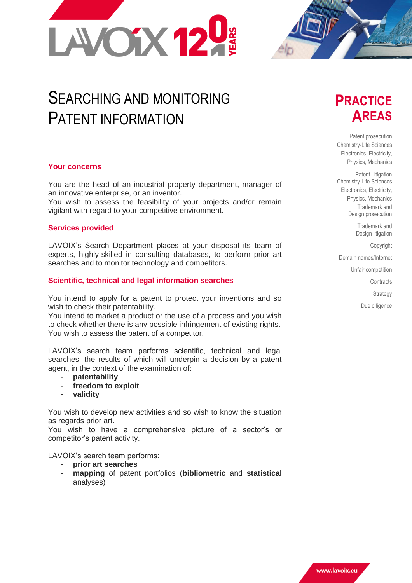

# SEARCHING AND MONITORING PATENT INFORMATION

## **Your concerns**

You are the head of an industrial property department, manager of an innovative enterprise, or an inventor.

You wish to assess the feasibility of your projects and/or remain vigilant with regard to your competitive environment.

## **Services provided**

LAVOIX's Search Department places at your disposal its team of experts, highly-skilled in consulting databases, to perform prior art searches and to monitor technology and competitors.

## **Scientific, technical and legal information searches**

You intend to apply for a patent to protect your inventions and so wish to check their patentability.

You intend to market a product or the use of a process and you wish to check whether there is any possible infringement of existing rights. You wish to assess the patent of a competitor.

LAVOIX's search team performs scientific, technical and legal searches, the results of which will underpin a decision by a patent agent, in the context of the examination of:

- **patentability**
- freedom to exploit
- **validity**

You wish to develop new activities and so wish to know the situation as regards prior art.

You wish to have a comprehensive picture of a sector's or competitor's patent activity.

LAVOIX's search team performs:

- **prior art searches**
- **mapping** of patent portfolios (**bibliometric** and **statistical**  analyses)

## **PRACTICE AREAS**

Patent prosecution Chemistry-Life Sciences Electronics, Electricity, Physics, Mechanics

Patent Litigation Chemistry-Life Sciences Electronics, Electricity, Physics, Mechanics Trademark and Design prosecution

> Trademark and Design litigation

> > Copyright

Domain names/Internet

Unfair competition

**Contracts** 

**Strategy** 

Due diligence